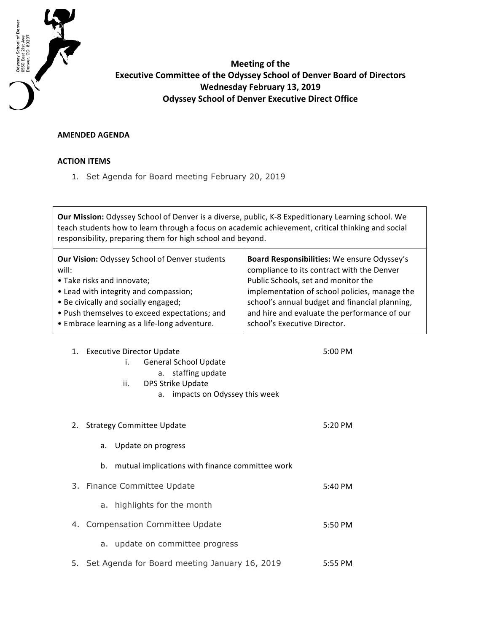

**Meeting of the Executive Committee of the Odyssey School of Denver Board of Directors Wednesday February 13, 2019 Odyssey School of Denver Executive Direct Office** 

## **AMENDED AGENDA**

## **ACTION ITEMS**

1. Set Agenda for Board meeting February 20, 2019

Our Mission: Odyssey School of Denver is a diverse, public, K-8 Expeditionary Learning school. We teach students how to learn through a focus on academic achievement, critical thinking and social responsibility, preparing them for high school and beyond.

| <b>Our Vision: Odyssey School of Denver students</b> | Board Responsibilities: We ensure Odyssey's    |
|------------------------------------------------------|------------------------------------------------|
| will:                                                | compliance to its contract with the Denver     |
| • Take risks and innovate;                           | Public Schools, set and monitor the            |
| • Lead with integrity and compassion;                | implementation of school policies, manage the  |
| • Be civically and socially engaged;                 | school's annual budget and financial planning, |
| • Push themselves to exceed expectations; and        | and hire and evaluate the performance of our   |
| • Embrace learning as a life-long adventure.         | school's Executive Director.                   |
|                                                      |                                                |

| 1. Executive Director Update |    |                              | 5:00 PM |  |
|------------------------------|----|------------------------------|---------|--|
|                              |    | <b>General School Update</b> |         |  |
|                              |    | a. staffing update           |         |  |
| ii.                          |    | DPS Strike Update            |         |  |
|                              | а. | impacts on Odyssey this week |         |  |
|                              |    |                              |         |  |
|                              |    |                              |         |  |

| 2. Strategy Committee Update                          | 5:20 PM |
|-------------------------------------------------------|---------|
| Update on progress<br>а.                              |         |
| mutual implications with finance committee work<br>b. |         |
| 3. Finance Committee Update                           | 5:40 PM |
| highlights for the month<br>a.                        |         |
| 4. Compensation Committee Update                      | 5:50 PM |
| a. update on committee progress                       |         |
| 5. Set Agenda for Board meeting January 16, 2019      | 5:55 PM |